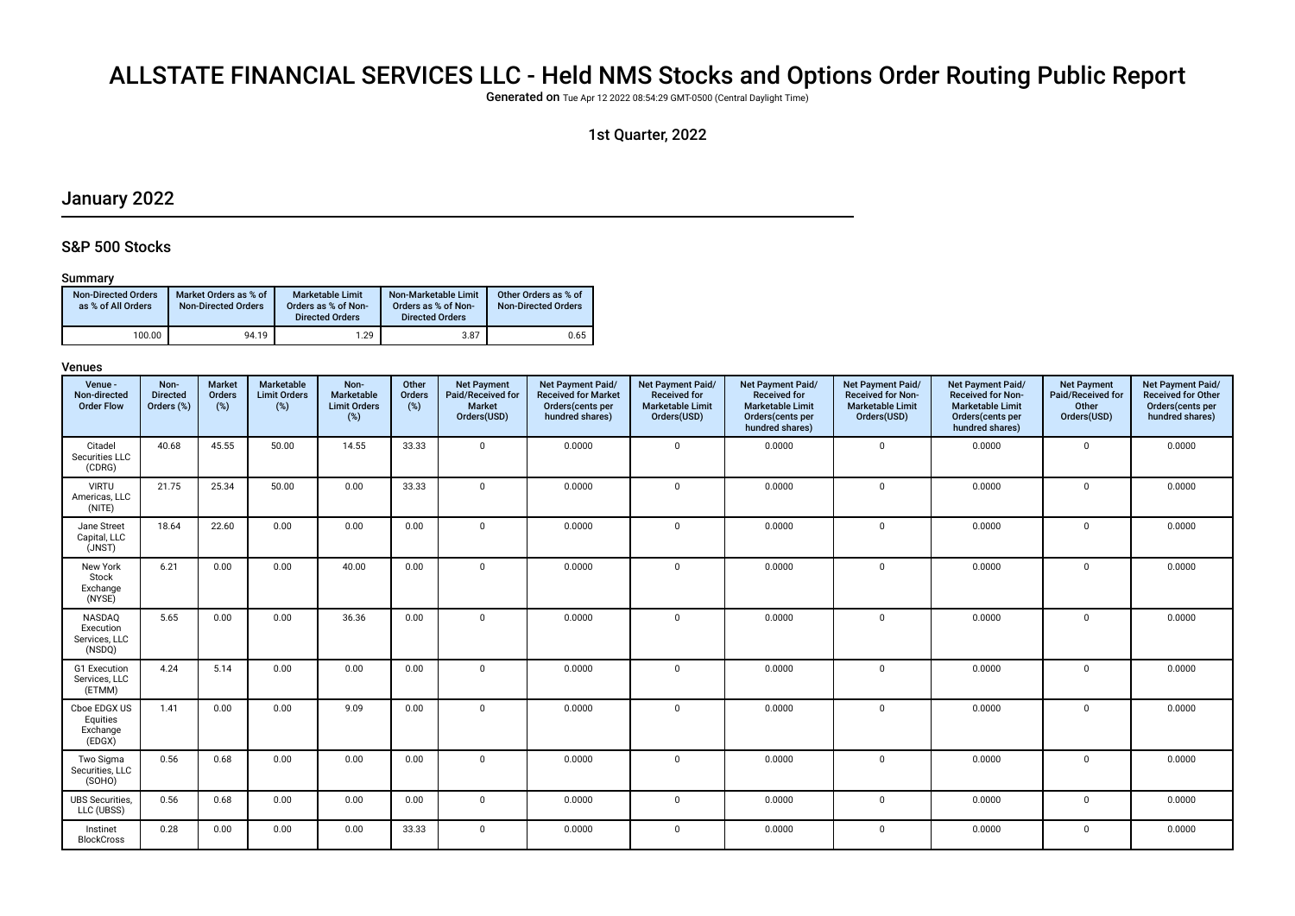# ALLSTATE FINANCIAL SERVICES LLC - Held NMS Stocks and Options Order Routing Public Report

Generated on Tue Apr 12 2022 08:54:29 GMT-0500 (Central Daylight Time)

### 1st Quarter, 2022

### January 2022

### S&P 500 Stocks

#### Summary

| <b>Non-Directed Orders</b><br>as % of All Orders | Market Orders as % of<br><b>Non-Directed Orders</b> | <b>Marketable Limit</b><br>Orders as % of Non-<br><b>Directed Orders</b> | Non-Marketable Limit<br>Orders as % of Non-<br><b>Directed Orders</b> | Other Orders as % of<br><b>Non-Directed Orders</b> |
|--------------------------------------------------|-----------------------------------------------------|--------------------------------------------------------------------------|-----------------------------------------------------------------------|----------------------------------------------------|
| 100.00                                           | 94.19                                               | 1.29                                                                     | 3.87                                                                  | 0.65                                               |

| Venue -<br>Non-directed<br><b>Order Flow</b>   | Non-<br><b>Directed</b><br>Orders (%) | <b>Market</b><br>Orders<br>$(\%)$ | <b>Marketable</b><br><b>Limit Orders</b><br>$(\%)$ | Non-<br>Marketable<br><b>Limit Orders</b><br>$(\%)$ | Other<br><b>Orders</b><br>(%) | <b>Net Payment</b><br>Paid/Received for<br><b>Market</b><br>Orders(USD) | Net Payment Paid/<br><b>Received for Market</b><br>Orders(cents per<br>hundred shares) | Net Payment Paid/<br><b>Received for</b><br><b>Marketable Limit</b><br>Orders(USD) | Net Payment Paid/<br><b>Received for</b><br><b>Marketable Limit</b><br>Orders(cents per<br>hundred shares) | Net Payment Paid/<br><b>Received for Non-</b><br><b>Marketable Limit</b><br>Orders(USD) | Net Payment Paid/<br><b>Received for Non-</b><br><b>Marketable Limit</b><br>Orders(cents per<br>hundred shares) | <b>Net Payment</b><br>Paid/Received for<br>Other<br>Orders(USD) | Net Payment Paid/<br><b>Received for Other</b><br>Orders(cents per<br>hundred shares) |
|------------------------------------------------|---------------------------------------|-----------------------------------|----------------------------------------------------|-----------------------------------------------------|-------------------------------|-------------------------------------------------------------------------|----------------------------------------------------------------------------------------|------------------------------------------------------------------------------------|------------------------------------------------------------------------------------------------------------|-----------------------------------------------------------------------------------------|-----------------------------------------------------------------------------------------------------------------|-----------------------------------------------------------------|---------------------------------------------------------------------------------------|
| Citadel<br>Securities LLC<br>(CDRG)            | 40.68                                 | 45.55                             | 50.00                                              | 14.55                                               | 33.33                         | $\mathbf 0$                                                             | 0.0000                                                                                 | $\mathbf 0$                                                                        | 0.0000                                                                                                     | $\mathbf 0$                                                                             | 0.0000                                                                                                          | $\mathbf 0$                                                     | 0.0000                                                                                |
| <b>VIRTU</b><br>Americas, LLC<br>(NITE)        | 21.75                                 | 25.34                             | 50.00                                              | 0.00                                                | 33.33                         | $\mathbf 0$                                                             | 0.0000                                                                                 | $\mathbf 0$                                                                        | 0.0000                                                                                                     | $\mathbf 0$                                                                             | 0.0000                                                                                                          | $\mathbf 0$                                                     | 0.0000                                                                                |
| Jane Street<br>Capital, LLC<br>(JNST)          | 18.64                                 | 22.60                             | 0.00                                               | 0.00                                                | 0.00                          | $\mathbf 0$                                                             | 0.0000                                                                                 | $\mathsf 0$                                                                        | 0.0000                                                                                                     | $\mathbf 0$                                                                             | 0.0000                                                                                                          | $\mathbf 0$                                                     | 0.0000                                                                                |
| New York<br>Stock<br>Exchange<br>(NYSE)        | 6.21                                  | 0.00                              | 0.00                                               | 40.00                                               | 0.00                          | $\mathbf{0}$                                                            | 0.0000                                                                                 | $\mathbf{0}$                                                                       | 0.0000                                                                                                     | $\mathbf 0$                                                                             | 0.0000                                                                                                          | $\mathbf 0$                                                     | 0.0000                                                                                |
| NASDAQ<br>Execution<br>Services, LLC<br>(NSDQ) | 5.65                                  | 0.00                              | 0.00                                               | 36.36                                               | 0.00                          | $\mathbf 0$                                                             | 0.0000                                                                                 | $\mathbf{0}$                                                                       | 0.0000                                                                                                     | 0                                                                                       | 0.0000                                                                                                          | $\mathbf 0$                                                     | 0.0000                                                                                |
| G1 Execution<br>Services, LLC<br>(ETMM)        | 4.24                                  | 5.14                              | 0.00                                               | 0.00                                                | 0.00                          | $\mathbf 0$                                                             | 0.0000                                                                                 | $\mathbf{0}$                                                                       | 0.0000                                                                                                     | 0                                                                                       | 0.0000                                                                                                          | $\mathbf 0$                                                     | 0.0000                                                                                |
| Cboe EDGX US<br>Equities<br>Exchange<br>(EDGX) | 1.41                                  | 0.00                              | 0.00                                               | 9.09                                                | 0.00                          | $\mathbf 0$                                                             | 0.0000                                                                                 | $\mathbf 0$                                                                        | 0.0000                                                                                                     | $\mathbf 0$                                                                             | 0.0000                                                                                                          | $\mathbf 0$                                                     | 0.0000                                                                                |
| Two Sigma<br>Securities, LLC<br>(SOHO)         | 0.56                                  | 0.68                              | 0.00                                               | 0.00                                                | 0.00                          | $\mathbf{0}$                                                            | 0.0000                                                                                 | $\mathbf 0$                                                                        | 0.0000                                                                                                     | $\mathbf 0$                                                                             | 0.0000                                                                                                          | $\mathbf 0$                                                     | 0.0000                                                                                |
| <b>UBS Securities,</b><br>LLC (UBSS)           | 0.56                                  | 0.68                              | 0.00                                               | 0.00                                                | 0.00                          | $\mathbf{0}$                                                            | 0.0000                                                                                 | $\mathbf 0$                                                                        | 0.0000                                                                                                     | 0                                                                                       | 0.0000                                                                                                          | $\mathbf 0$                                                     | 0.0000                                                                                |
| Instinet<br><b>BlockCross</b>                  | 0.28                                  | 0.00                              | 0.00                                               | 0.00                                                | 33.33                         | $\mathbf 0$                                                             | 0.0000                                                                                 | $\mathbf 0$                                                                        | 0.0000                                                                                                     | 0                                                                                       | 0.0000                                                                                                          | $\mathbf 0$                                                     | 0.0000                                                                                |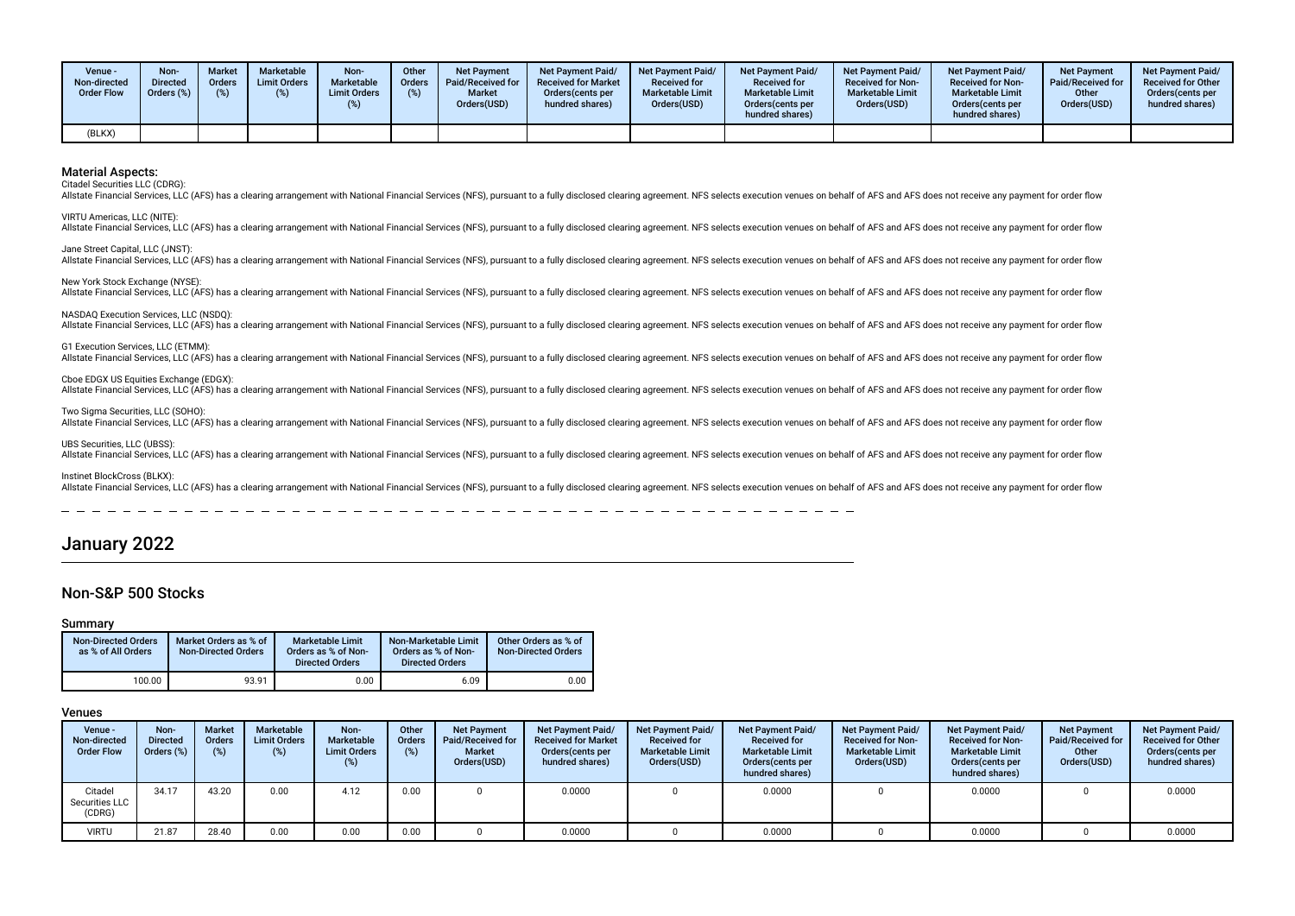| Venue -<br>Non-directed<br><b>Order Flow</b> | Non-<br><b>Directed</b><br>Orders (%) | <b>Market</b><br><b>Orders</b> | Marketable<br><b>Limit Orders</b><br>(%) | Non-<br>Marketable<br><b>Limit Orders</b> | Other<br>Orders<br>(%) | <b>Net Payment</b><br>Paid/Received for<br><b>Market</b><br>Orders(USD) | Net Payment Paid/<br><b>Received for Market</b><br>Orders(cents per<br>hundred shares) | <b>Net Payment Paid/</b><br><b>Received for</b><br><b>Marketable Limit</b><br>Orders(USD) | <b>Net Payment Paid/</b><br><b>Received for</b><br><b>Marketable Limit</b><br>Orders(cents per<br>hundred shares) | <b>Net Payment Paid/</b><br><b>Received for Non-</b><br><b>Marketable Limit</b><br>Orders(USD) | <b>Net Payment Paid/</b><br><b>Received for Non-</b><br><b>Marketable Limit</b><br>Orders(cents per<br>hundred shares) | <b>Net Payment</b><br>Paid/Received for<br>Other<br>Orders(USD) | <b>Net Payment Paid/</b><br><b>Received for Other</b><br>Orders(cents per<br>hundred shares) |
|----------------------------------------------|---------------------------------------|--------------------------------|------------------------------------------|-------------------------------------------|------------------------|-------------------------------------------------------------------------|----------------------------------------------------------------------------------------|-------------------------------------------------------------------------------------------|-------------------------------------------------------------------------------------------------------------------|------------------------------------------------------------------------------------------------|------------------------------------------------------------------------------------------------------------------------|-----------------------------------------------------------------|----------------------------------------------------------------------------------------------|
| (BLKX)                                       |                                       |                                |                                          |                                           |                        |                                                                         |                                                                                        |                                                                                           |                                                                                                                   |                                                                                                |                                                                                                                        |                                                                 |                                                                                              |

Citadel Securities LLC (CDRG):

Allstate Financial Services, LLC (AFS) has a clearing arrangement with National Financial Services (NFS), pursuant to a fully disclosed clearing agreement. NFS selects execution venues on behalf of AFS and AFS does not rec

VIRTU Americas, LLC (NITE): Allstate Financial Services, LLC (AFS) has a clearing arrangement with National Financial Services (NFS), pursuant to a fully disclosed clearing agreement. NFS selects execution venues on behalf of AFS and AFS does not rec

Jane Street Capital, LLC (JNST): Allstate Financial Services, LLC (AFS) has a clearing arrangement with National Financial Services (NFS), pursuant to a fully disclosed clearing agreement. NFS selects execution venues on behalf of AFS and AFS does not rec

Allstate Financial Services, LLC (AFS) has a clearing arrangement with National Financial Services (NFS), pursuant to a fully disclosed clearing agreement. NFS selects execution venues on behalf of AFS and AFS does not rec

#### NASDAQ Execution Services, LLC (NSDQ):

Allstate Financial Services, LLC (AFS) has a clearing arrangement with National Financial Services (NFS), pursuant to a fully disclosed clearing agreement. NFS selects execution venues on behalf of AFS and AFS does not rec

#### G1 Execution Services, LLC (ETMM):

New York Stock Exchange (NYSE):

Allstate Financial Services, LLC (AFS) has a clearing arrangement with National Financial Services (NFS), pursuant to a fully disclosed clearing agreement. NFS selects execution venues on behalf of AFS and AFS does not rec

#### Cboe EDGX US Equities Exchange (EDGX):

Allstate Financial Services, LLC (AFS) has a clearing arrangement with National Financial Services (NFS), pursuant to a fully disclosed clearing agreement. NFS selects execution venues on behalf of AFS and AFS does not rec

#### Two Sigma Securities, LLC (SOHO):

Allstate Financial Services, LLC (AFS) has a clearing arrangement with National Financial Services (NFS), pursuant to a fully disclosed clearing agreement. NFS selects execution venues on behalf of AFS and AFS does not rec

#### UBS Securities, LLC (UBSS)

All state Financial Services, LLC (AFS) has a clearing arrangement with National Financial Services (NFS), pursuant to a fully disclosed clearing agreement. NFS selects execution venues on behalf of AFS and AFS does not re

#### Instinet BlockCross (BLKX):

Allstate Financial Services, LLC (AFS) has a clearing arrangement with National Financial Services (NFS), pursuant to a fully disclosed clearing agreement. NFS selects execution venues on behalf of AFS and AFS does not rec

### January 2022

### Non-S&P 500 Stocks

#### Summary

| <b>Non-Directed Orders</b><br>as % of All Orders | Market Orders as % of<br><b>Non-Directed Orders</b> | <b>Marketable Limit</b><br>Orders as % of Non-<br><b>Directed Orders</b> | Non-Marketable Limit<br>Orders as % of Non-<br><b>Directed Orders</b> | Other Orders as % of<br><b>Non-Directed Orders</b> |
|--------------------------------------------------|-----------------------------------------------------|--------------------------------------------------------------------------|-----------------------------------------------------------------------|----------------------------------------------------|
| 100.00                                           | 93.91                                               | 0.00                                                                     | 6.09                                                                  | 0.00                                               |

| Venue -<br>Non-directed<br><b>Order Flow</b> | Non-<br><b>Directed</b><br>Orders (%) | <b>Market</b><br><b>Orders</b><br>(%) | Marketable<br><b>Limit Orders</b><br>(%) | Non-<br>Marketable<br><b>Limit Orders</b><br>$(\%)$ | Other<br><b>Orders</b><br>(%) | <b>Net Payment</b><br>Paid/Received for<br><b>Market</b><br>Orders(USD) | Net Payment Paid/<br><b>Received for Market</b><br>Orders (cents per<br>hundred shares) | <b>Net Payment Paid/</b><br><b>Received for</b><br><b>Marketable Limit</b><br>Orders(USD) | <b>Net Payment Paid/</b><br><b>Received for</b><br><b>Marketable Limit</b><br>Orders (cents per<br>hundred shares) | Net Payment Paid/<br><b>Received for Non-</b><br><b>Marketable Limit</b><br>Orders(USD) | <b>Net Payment Paid/</b><br><b>Received for Non-</b><br><b>Marketable Limit</b><br>Orders (cents per<br>hundred shares) | <b>Net Payment</b><br><b>Paid/Received for</b><br>Other<br>Orders(USD) | <b>Net Payment Paid/</b><br><b>Received for Other</b><br>Orders(cents per<br>hundred shares) |
|----------------------------------------------|---------------------------------------|---------------------------------------|------------------------------------------|-----------------------------------------------------|-------------------------------|-------------------------------------------------------------------------|-----------------------------------------------------------------------------------------|-------------------------------------------------------------------------------------------|--------------------------------------------------------------------------------------------------------------------|-----------------------------------------------------------------------------------------|-------------------------------------------------------------------------------------------------------------------------|------------------------------------------------------------------------|----------------------------------------------------------------------------------------------|
| Citadel<br>Securities LLC<br>(CDRG)          | 34.17                                 | 43.20                                 | 0.00                                     | 4.12                                                | 0.00                          |                                                                         | 0.0000                                                                                  |                                                                                           | 0.0000                                                                                                             |                                                                                         | 0.0000                                                                                                                  |                                                                        | 0.0000                                                                                       |
| <b>VIRTU</b>                                 | 21.87                                 | 28.40                                 | 0.00                                     | 0.00                                                | 0.00                          |                                                                         | 0.0000                                                                                  |                                                                                           | 0.0000                                                                                                             |                                                                                         | 0.0000                                                                                                                  |                                                                        | 0.0000                                                                                       |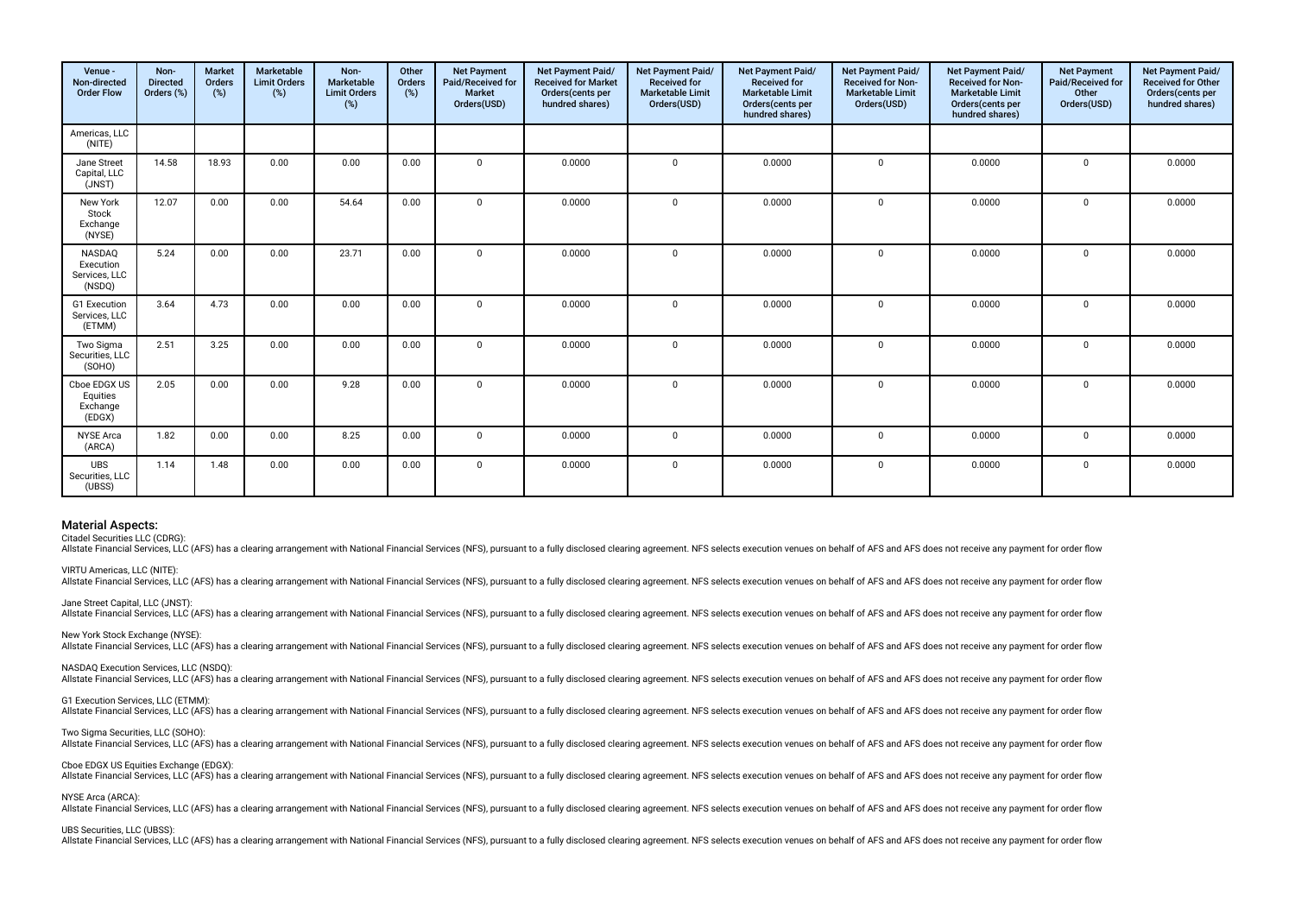| Venue -<br>Non-directed<br><b>Order Flow</b>   | Non-<br><b>Directed</b><br>Orders (%) | <b>Market</b><br>Orders<br>(%) | Marketable<br><b>Limit Orders</b><br>(%) | Non-<br>Marketable<br><b>Limit Orders</b><br>$(\%)$ | Other<br>Orders<br>(%) | <b>Net Payment</b><br>Paid/Received for<br>Market<br>Orders(USD) | Net Payment Paid/<br><b>Received for Market</b><br>Orders(cents per<br>hundred shares) | Net Payment Paid/<br><b>Received for</b><br><b>Marketable Limit</b><br>Orders(USD) | Net Payment Paid/<br>Received for<br><b>Marketable Limit</b><br>Orders(cents per<br>hundred shares) | Net Payment Paid/<br><b>Received for Non-</b><br><b>Marketable Limit</b><br>Orders(USD) | Net Payment Paid/<br>Received for Non-<br><b>Marketable Limit</b><br>Orders(cents per<br>hundred shares) | <b>Net Payment</b><br>Paid/Received for<br>Other<br>Orders(USD) | Net Payment Paid/<br>Received for Other<br>Orders(cents per<br>hundred shares) |
|------------------------------------------------|---------------------------------------|--------------------------------|------------------------------------------|-----------------------------------------------------|------------------------|------------------------------------------------------------------|----------------------------------------------------------------------------------------|------------------------------------------------------------------------------------|-----------------------------------------------------------------------------------------------------|-----------------------------------------------------------------------------------------|----------------------------------------------------------------------------------------------------------|-----------------------------------------------------------------|--------------------------------------------------------------------------------|
| Americas, LLC<br>(NITE)                        |                                       |                                |                                          |                                                     |                        |                                                                  |                                                                                        |                                                                                    |                                                                                                     |                                                                                         |                                                                                                          |                                                                 |                                                                                |
| Jane Street<br>Capital, LLC<br>(JNST)          | 14.58                                 | 18.93                          | 0.00                                     | 0.00                                                | 0.00                   | $\mathbf 0$                                                      | 0.0000                                                                                 | $\mathbf 0$                                                                        | 0.0000                                                                                              | $\mathbf 0$                                                                             | 0.0000                                                                                                   | $\mathbf 0$                                                     | 0.0000                                                                         |
| New York<br>Stock<br>Exchange<br>(NYSE)        | 12.07                                 | 0.00                           | 0.00                                     | 54.64                                               | 0.00                   | $\mathbf 0$                                                      | 0.0000                                                                                 | $\mathbf{0}$                                                                       | 0.0000                                                                                              | $\mathbf 0$                                                                             | 0.0000                                                                                                   | $\mathbf 0$                                                     | 0.0000                                                                         |
| NASDAQ<br>Execution<br>Services, LLC<br>(NSDQ) | 5.24                                  | 0.00                           | 0.00                                     | 23.71                                               | 0.00                   | $\Omega$                                                         | 0.0000                                                                                 | $\mathbf{0}$                                                                       | 0.0000                                                                                              | $\mathbf 0$                                                                             | 0.0000                                                                                                   | $\mathbf 0$                                                     | 0.0000                                                                         |
| G1 Execution<br>Services, LLC<br>(ETMM)        | 3.64                                  | 4.73                           | 0.00                                     | 0.00                                                | 0.00                   | $\mathbf 0$                                                      | 0.0000                                                                                 | $\mathbf{0}$                                                                       | 0.0000                                                                                              | $\mathbf 0$                                                                             | 0.0000                                                                                                   | $\mathbf 0$                                                     | 0.0000                                                                         |
| Two Siama<br>Securities, LLC<br>(SOHO)         | 2.51                                  | 3.25                           | 0.00                                     | 0.00                                                | 0.00                   | $\Omega$                                                         | 0.0000                                                                                 | $\Omega$                                                                           | 0.0000                                                                                              | $\mathbf 0$                                                                             | 0.0000                                                                                                   | $\mathbf 0$                                                     | 0.0000                                                                         |
| Cboe EDGX US<br>Equities<br>Exchange<br>(EDGX) | 2.05                                  | 0.00                           | 0.00                                     | 9.28                                                | 0.00                   | $\mathbf{0}$                                                     | 0.0000                                                                                 | $\mathbf{0}$                                                                       | 0.0000                                                                                              | $\mathbf 0$                                                                             | 0.0000                                                                                                   | $\mathbf 0$                                                     | 0.0000                                                                         |
| <b>NYSE</b> Arca<br>(ARCA)                     | 1.82                                  | 0.00                           | 0.00                                     | 8.25                                                | 0.00                   | $\Omega$                                                         | 0.0000                                                                                 | $\Omega$                                                                           | 0.0000                                                                                              | $\mathbf 0$                                                                             | 0.0000                                                                                                   | $\Omega$                                                        | 0.0000                                                                         |
| <b>UBS</b><br>Securities, LLC<br>(UBSS)        | 1.14                                  | 1.48                           | 0.00                                     | 0.00                                                | 0.00                   | $\mathbf{0}$                                                     | 0.0000                                                                                 | $\mathbf 0$                                                                        | 0.0000                                                                                              | $\mathbf 0$                                                                             | 0.0000                                                                                                   | $\mathbf 0$                                                     | 0.0000                                                                         |

Citadel Securities LLC (CDRG):

Allstate Financial Services, LLC (AFS) has a clearing arrangement with National Financial Services (NFS), pursuant to a fully disclosed clearing agreement. NFS selects execution venues on behalf of AFS and AFS does not rec

VIRTU Americas, LLC (NITE): Allstate Financial Services, LLC (AFS) has a clearing arrangement with National Financial Services (NFS), pursuant to a fully disclosed clearing agreement. NFS selects execution venues on behalf of AFS and AFS does not rec

Jane Street Capital, LLC (JNST): Allstate Financial Services, LLC (AFS) has a clearing arrangement with National Financial Services (NFS), pursuant to a fully disclosed clearing agreement. NFS selects execution venues on behalf of AFS and AFS does not rec

New York Stock Exchange (NYSE):

Allstate Financial Services, LLC (AFS) has a clearing arrangement with National Financial Services (NFS), pursuant to a fully disclosed clearing agreement. NFS selects execution venues on behalf of AFS and AFS does not rec

NASDAQ Execution Services, LLC (NSDQ):

All state Financial Services, LLC (AFS) has a clearing arrangement with National Financial Services (NFS), pursuant to a fully disclosed clearing agreement. NFS selects execution venues on behalf of AFS and AFS does not re G1 Execution Services, LLC (ETMM):

Allstate Financial Services, LLC (AFS) has a clearing arrangement with National Financial Services (NFS), pursuant to a fully disclosed clearing agreement. NFS selects execution venues on behalf of AFS and AFS does not rec

Two Sigma Securities, LLC (SOHO):

Allstate Financial Services, LLC (AFS) has a clearing arrangement with National Financial Services (NFS), pursuant to a fully disclosed clearing agreement. NFS selects execution venues on behalf of AFS and AFS does not rec

Cboe EDGX US Equities Exchange (EDGX):

Allstate Financial Services, LLC (AFS) has a clearing arrangement with National Financial Services (NFS), pursuant to a fully disclosed clearing agreement. NFS selects execution venues on behalf of AFS and AFS does not rec

NYSE Arca (ARCA):

Allstate Financial Services, LLC (AFS) has a clearing arrangement with National Financial Services (NFS), pursuant to a fully disclosed clearing agreement. NFS selects execution venues on behalf of AFS and AFS does not rec

UBS Securities, LLC (UBSS):

Allstate Financial Services, LLC (AFS) has a clearing arrangement with National Financial Services (NFS), pursuant to a fully disclosed clearing agreement. NFS selects execution venues on behalf of AFS and AFS does not rec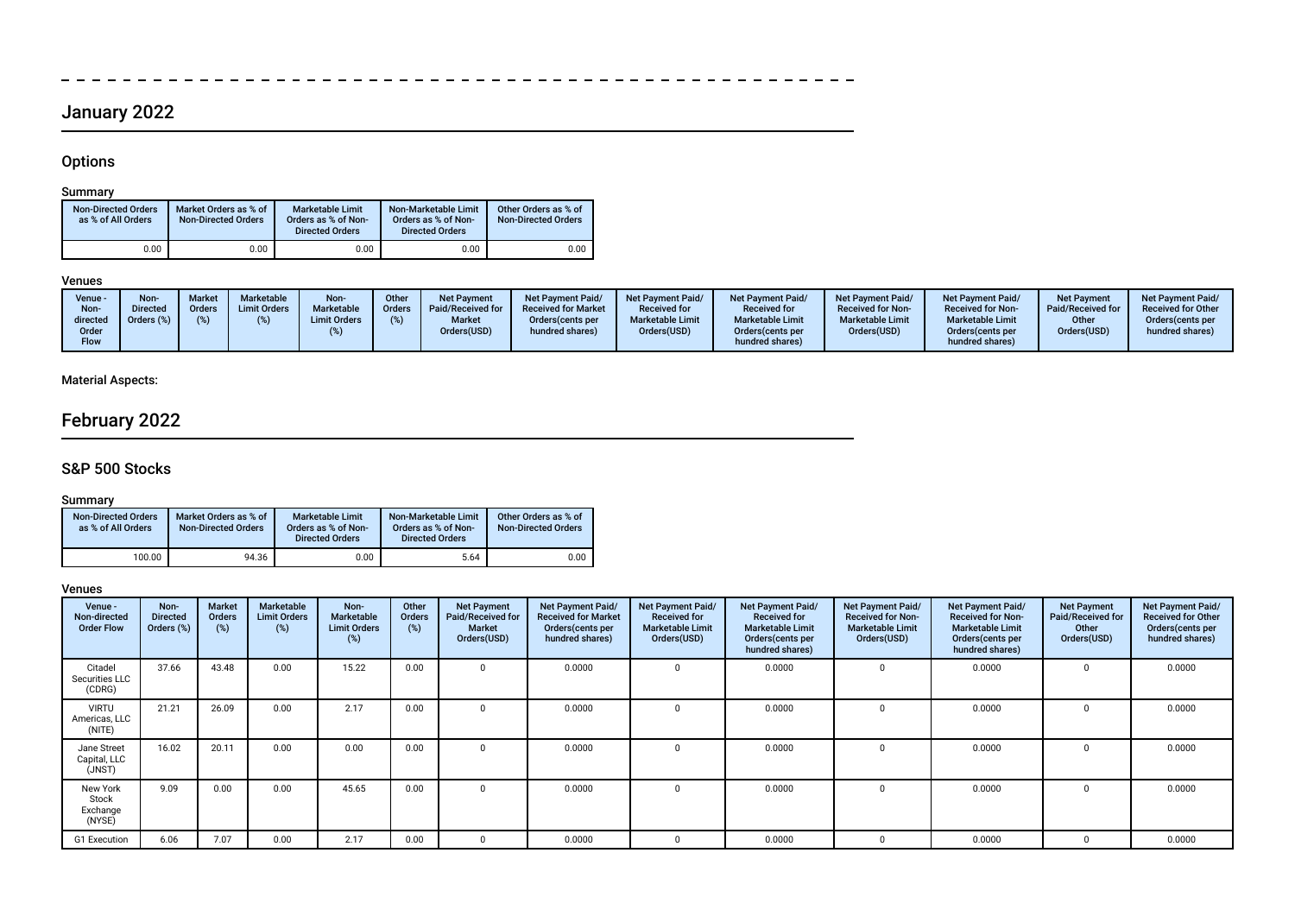# January 2022

- - - - - - - - - - -

### **Options**

 $\frac{1}{2}$ 

### Summary

| <b>Non-Directed Orders</b><br>as % of All Orders | Market Orders as % of<br><b>Non-Directed Orders</b> | <b>Marketable Limit</b><br>Orders as % of Non-<br><b>Directed Orders</b> | Non-Marketable Limit<br>Orders as % of Non-<br><b>Directed Orders</b> | Other Orders as % of<br><b>Non-Directed Orders</b> |
|--------------------------------------------------|-----------------------------------------------------|--------------------------------------------------------------------------|-----------------------------------------------------------------------|----------------------------------------------------|
| 0.00                                             | 0.00                                                | 0.00                                                                     | 0.00                                                                  | 0.00                                               |

### Venues

------------------------

 $\equiv$ 

### Material Aspects:

# February 2022

### S&P 500 Stocks

### Summary

| <b>Non-Directed Orders</b><br>as % of All Orders | Market Orders as % of<br><b>Non-Directed Orders</b> | <b>Marketable Limit</b><br>Orders as % of Non-<br><b>Directed Orders</b> | Non-Marketable Limit<br>Orders as % of Non-<br><b>Directed Orders</b> | Other Orders as % of<br><b>Non-Directed Orders</b> |
|--------------------------------------------------|-----------------------------------------------------|--------------------------------------------------------------------------|-----------------------------------------------------------------------|----------------------------------------------------|
| 100.00                                           | 94.36                                               | 0.00                                                                     | 5.64                                                                  | 0.00                                               |

| Venue -<br>Non-directed<br><b>Order Flow</b> | Non-<br><b>Directed</b><br>Orders (%) | <b>Market</b><br>Orders<br>(%) | Marketable<br><b>Limit Orders</b><br>(%) | Non-<br><b>Marketable</b><br><b>Limit Orders</b><br>(%) | Other<br>Orders<br>(%) | <b>Net Payment</b><br><b>Paid/Received for</b><br><b>Market</b><br>Orders(USD) | Net Payment Paid/<br><b>Received for Market</b><br>Orders (cents per<br>hundred shares) | Net Payment Paid/<br><b>Received for</b><br><b>Marketable Limit</b><br>Orders(USD) | Net Payment Paid/<br><b>Received for</b><br><b>Marketable Limit</b><br>Orders (cents per<br>hundred shares) | Net Payment Paid/<br><b>Received for Non-</b><br><b>Marketable Limit</b><br>Orders(USD) | Net Payment Paid/<br><b>Received for Non-</b><br><b>Marketable Limit</b><br>Orders (cents per<br>hundred shares) | <b>Net Payment</b><br>Paid/Received for<br>Other<br>Orders(USD) | Net Payment Paid/<br><b>Received for Other</b><br>Orders (cents per<br>hundred shares) |
|----------------------------------------------|---------------------------------------|--------------------------------|------------------------------------------|---------------------------------------------------------|------------------------|--------------------------------------------------------------------------------|-----------------------------------------------------------------------------------------|------------------------------------------------------------------------------------|-------------------------------------------------------------------------------------------------------------|-----------------------------------------------------------------------------------------|------------------------------------------------------------------------------------------------------------------|-----------------------------------------------------------------|----------------------------------------------------------------------------------------|
| Citadel<br>Securities LLC<br>(CDRG)          | 37.66                                 | 43.48                          | 0.00                                     | 15.22                                                   | 0.00                   |                                                                                | 0.0000                                                                                  | 0                                                                                  | 0.0000                                                                                                      | $\Omega$                                                                                | 0.0000                                                                                                           |                                                                 | 0.0000                                                                                 |
| <b>VIRTU</b><br>Americas, LLC<br>(NITE)      | 21.21                                 | 26.09                          | 0.00                                     | 2.17                                                    | 0.00                   |                                                                                | 0.0000                                                                                  | $\Omega$                                                                           | 0.0000                                                                                                      | $\Omega$                                                                                | 0.0000                                                                                                           |                                                                 | 0.0000                                                                                 |
| Jane Street<br>Capital, LLC<br>(JNST)        | 16.02                                 | 20.11                          | 0.00                                     | 0.00                                                    | 0.00                   |                                                                                | 0.0000                                                                                  | n.                                                                                 | 0.0000                                                                                                      |                                                                                         | 0.0000                                                                                                           |                                                                 | 0.0000                                                                                 |
| New York<br>Stock<br>Exchange<br>(NYSE)      | 9.09                                  | 0.00                           | 0.00                                     | 45.65                                                   | 0.00                   |                                                                                | 0.0000                                                                                  | $\Omega$                                                                           | 0.0000                                                                                                      |                                                                                         | 0.0000                                                                                                           |                                                                 | 0.0000                                                                                 |
| G1 Execution                                 | 6.06                                  | 7.07                           | 0.00                                     | 2.17                                                    | 0.00                   |                                                                                | 0.0000                                                                                  | $\Omega$                                                                           | 0.0000                                                                                                      |                                                                                         | 0.0000                                                                                                           |                                                                 | 0.0000                                                                                 |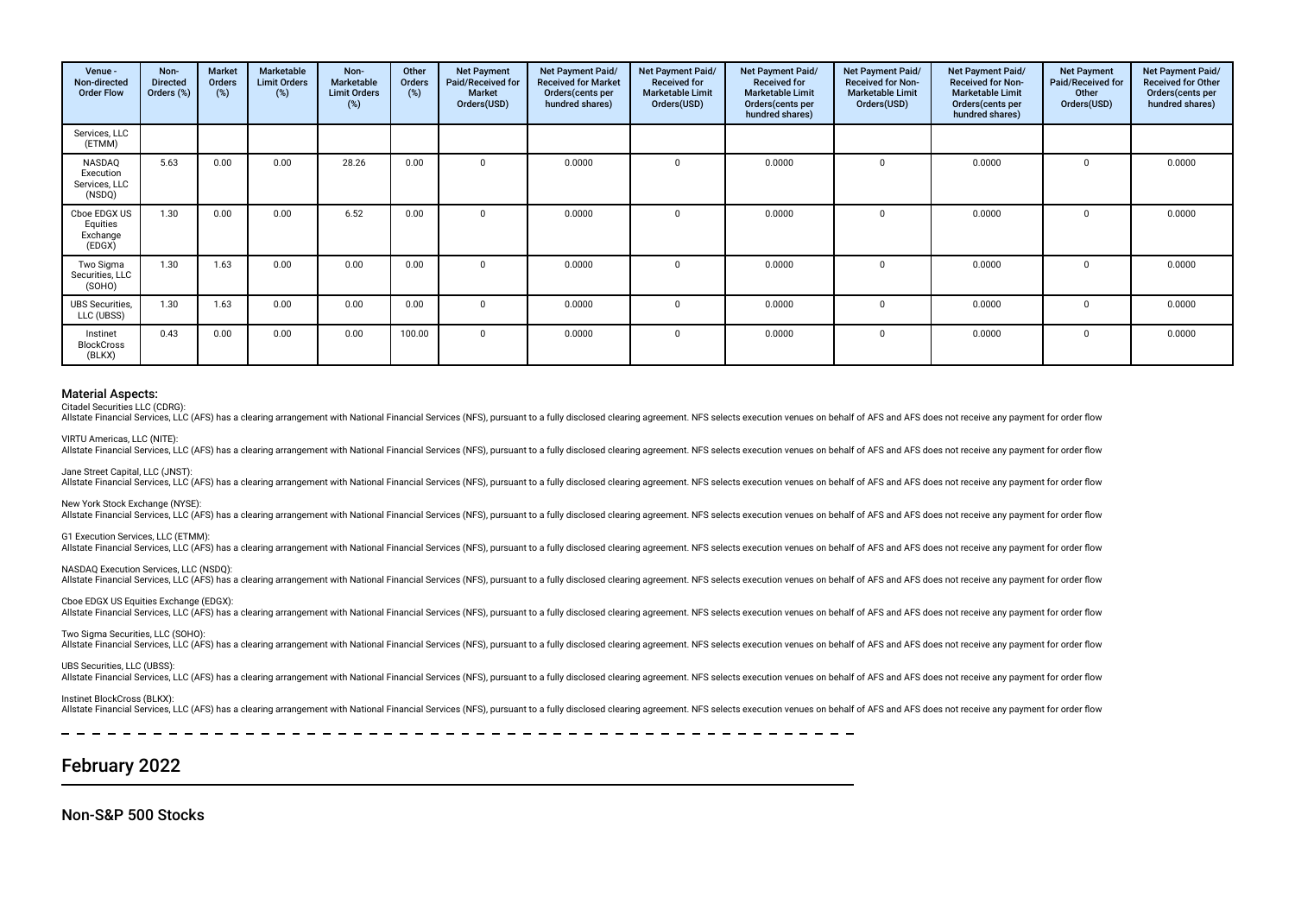| Venue -<br>Non-directed<br><b>Order Flow</b>   | Non-<br><b>Directed</b><br>Orders (%) | <b>Market</b><br>Orders<br>(%) | Marketable<br><b>Limit Orders</b><br>(%) | Non-<br>Marketable<br><b>Limit Orders</b><br>(%) | Other<br>Orders<br>(%) | <b>Net Payment</b><br>Paid/Received for<br><b>Market</b><br>Orders(USD) | Net Payment Paid/<br><b>Received for Market</b><br>Orders (cents per<br>hundred shares) | Net Payment Paid/<br><b>Received for</b><br><b>Marketable Limit</b><br>Orders(USD) | Net Payment Paid/<br><b>Received for</b><br><b>Marketable Limit</b><br>Orders(cents per<br>hundred shares) | Net Payment Paid/<br><b>Received for Non-</b><br><b>Marketable Limit</b><br>Orders(USD) | Net Payment Paid/<br><b>Received for Non-</b><br><b>Marketable Limit</b><br>Orders(cents per<br>hundred shares) | <b>Net Payment</b><br>Paid/Received for<br>Other<br>Orders(USD) | Net Payment Paid/<br><b>Received for Other</b><br>Orders(cents per<br>hundred shares) |
|------------------------------------------------|---------------------------------------|--------------------------------|------------------------------------------|--------------------------------------------------|------------------------|-------------------------------------------------------------------------|-----------------------------------------------------------------------------------------|------------------------------------------------------------------------------------|------------------------------------------------------------------------------------------------------------|-----------------------------------------------------------------------------------------|-----------------------------------------------------------------------------------------------------------------|-----------------------------------------------------------------|---------------------------------------------------------------------------------------|
| Services, LLC<br>(ETMM)                        |                                       |                                |                                          |                                                  |                        |                                                                         |                                                                                         |                                                                                    |                                                                                                            |                                                                                         |                                                                                                                 |                                                                 |                                                                                       |
| NASDAQ<br>Execution<br>Services, LLC<br>(NSDQ) | 5.63                                  | 0.00                           | 0.00                                     | 28.26                                            | 0.00                   |                                                                         | 0.0000                                                                                  | $\Omega$                                                                           | 0.0000                                                                                                     | $\Omega$                                                                                | 0.0000                                                                                                          | $\Omega$                                                        | 0.0000                                                                                |
| Cboe EDGX US<br>Equities<br>Exchange<br>(EDGX) | 1.30                                  | 0.00                           | 0.00                                     | 6.52                                             | 0.00                   |                                                                         | 0.0000                                                                                  |                                                                                    | 0.0000                                                                                                     | $\Omega$                                                                                | 0.0000                                                                                                          |                                                                 | 0.0000                                                                                |
| Two Sigma<br>Securities, LLC<br>(SOHO)         | 1.30                                  | 1.63                           | 0.00                                     | 0.00                                             | 0.00                   |                                                                         | 0.0000                                                                                  |                                                                                    | 0.0000                                                                                                     | $\Omega$                                                                                | 0.0000                                                                                                          |                                                                 | 0.0000                                                                                |
| <b>UBS</b> Securities,<br>LLC (UBSS)           | 1.30                                  | 1.63                           | 0.00                                     | 0.00                                             | 0.00                   |                                                                         | 0.0000                                                                                  |                                                                                    | 0.0000                                                                                                     | $\Omega$                                                                                | 0.0000                                                                                                          |                                                                 | 0.0000                                                                                |
| Instinet<br><b>BlockCross</b><br>(BLKX)        | 0.43                                  | 0.00                           | 0.00                                     | 0.00                                             | 100.00                 |                                                                         | 0.0000                                                                                  |                                                                                    | 0.0000                                                                                                     | $\mathbf 0$                                                                             | 0.0000                                                                                                          |                                                                 | 0.0000                                                                                |

Citadel Securities LLC (CDRG):

Allstate Financial Services, LLC (AFS) has a clearing arrangement with National Financial Services (NFS), pursuant to a fully disclosed clearing agreement. NFS selects execution venues on behalf of AFS and AFS does not rec

VIRTU Americas, LLC (NITE): This variable Financial Services, LLC (AFS) has a clearing arrangement with National Financial Services (NFS), pursuant to a fully disclosed clearing agreement. NFS selects execution venues on behalf of AFS and AFS does no

Jane Street Capital, LLC (JNST): Allstate Financial Services. LLC (AFS) has a clearing arrangement with National Financial Services (NFS), pursuant to a fully disclosed clearing agreement. NFS selects execution venues on behalf of AFS and AFS does not rec

New York Stock Exchange (NYSE):

Allstate Financial Services, LLC (AFS) has a clearing arrangement with National Financial Services (NFS), pursuant to a fully disclosed clearing agreement. NFS selects execution venues on behalf of AFS and AFS does not rec

G1 Execution Services, LLC (ETMM):

Allstate Financial Services, LLC (AFS) has a clearing arrangement with National Financial Services (NFS), pursuant to a fully disclosed clearing agreement. NFS selects execution venues on behalf of AFS and AFS does not rec

NASDAQ Execution Services, LLC (NSDQ):

Allstate Financial Services, LLC (AFS) has a clearing arrangement with National Financial Services (NFS), pursuant to a fully disclosed clearing agreement. NFS selects execution venues on behalf of AFS and AFS does not rec

Cboe EDGX US Equities Exchange (EDGX):

Allstate Financial Services, LLC (AFS) has a clearing arrangement with National Financial Services (NFS), pursuant to a fully disclosed clearing agreement. NFS selects execution venues on behalf of AFS and AFS does not rec

Two Sigma Securities, LLC (SOHO):

Allstate Financial Services, LLC (AFS) has a clearing arrangement with National Financial Services (NFS), pursuant to a fully disclosed clearing agreement. NFS selects execution venues on behalf of AFS and AFS does not rec

UBS Securities, LLC (UBSS)

Allstate Financial Services, LLC (AFS) has a clearing arrangement with National Financial Services (NFS), pursuant to a fully disclosed clearing agreement. NFS selects execution venues on behalf of AFS and AFS does not rec

Instinet BlockCross (BLKX):

Allstate Financial Services. LLC (AFS) has a clearing arrangement with National Financial Services (NFS), pursuant to a fully disclosed clearing agreement. NFS selects execution venues on behalf of AFS and AFS does not rec

February 2022

Non-S&P 500 Stocks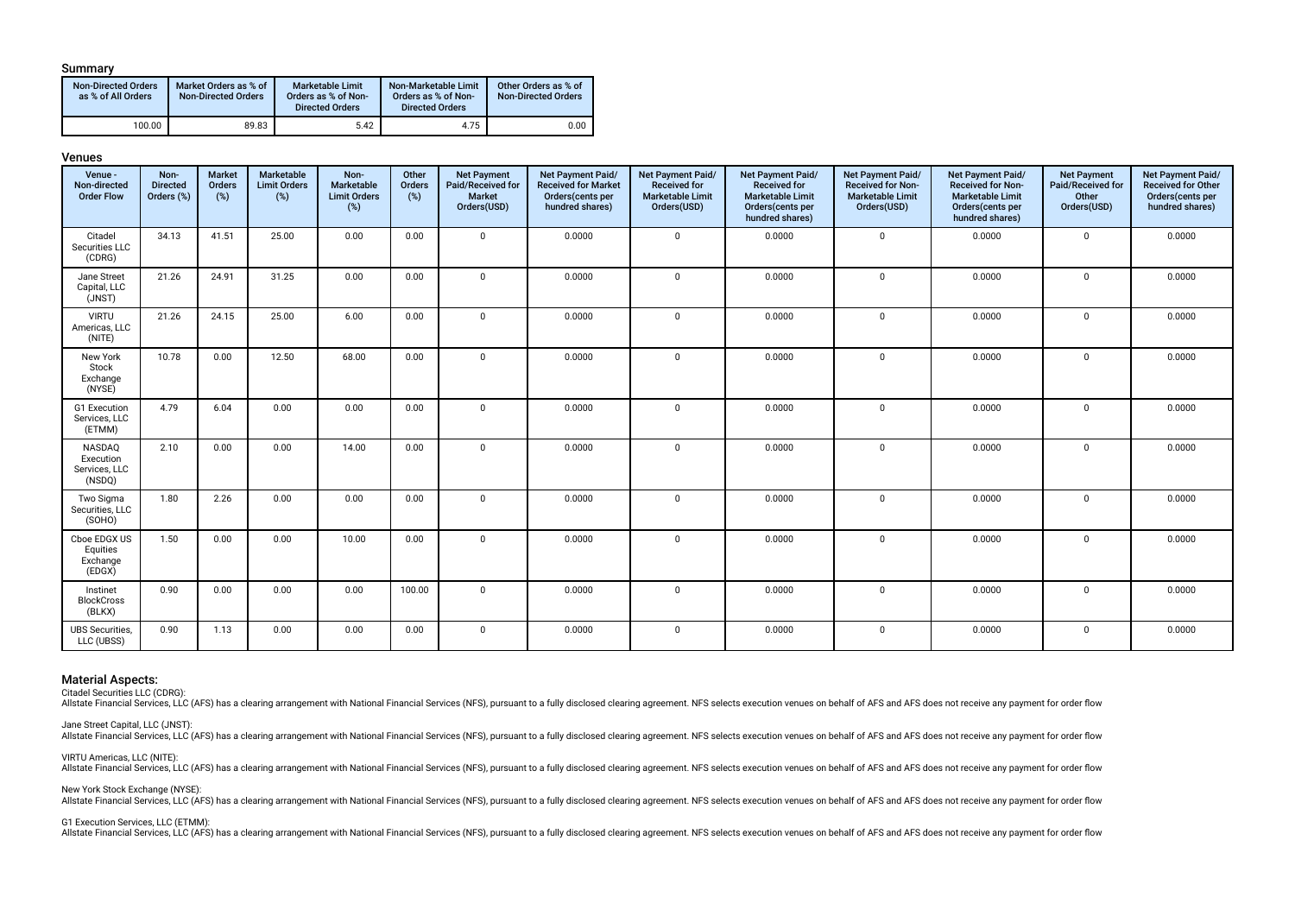#### Summary

| <b>Non-Directed Orders</b><br>as % of All Orders | Market Orders as % of<br><b>Non-Directed Orders</b> | Marketable Limit<br>Orders as % of Non-<br><b>Directed Orders</b> | Non-Marketable Limit<br>Orders as % of Non-<br><b>Directed Orders</b> | Other Orders as % of<br><b>Non-Directed Orders</b> |
|--------------------------------------------------|-----------------------------------------------------|-------------------------------------------------------------------|-----------------------------------------------------------------------|----------------------------------------------------|
| 100.00                                           | 89.83                                               | 5.42                                                              | 4.75                                                                  | 0.00                                               |

#### Venues

| Venue -<br>Non-directed<br><b>Order Flow</b>   | Non-<br><b>Directed</b><br>Orders (%) | <b>Market</b><br>Orders<br>(%) | Marketable<br><b>Limit Orders</b><br>$(\%)$ | Non-<br>Marketable<br><b>Limit Orders</b><br>(%) | Other<br>Orders<br>(%) | <b>Net Payment</b><br>Paid/Received for<br>Market<br>Orders(USD) | Net Payment Paid/<br><b>Received for Market</b><br>Orders(cents per<br>hundred shares) | Net Payment Paid/<br><b>Received for</b><br><b>Marketable Limit</b><br>Orders(USD) | Net Payment Paid/<br><b>Received for</b><br><b>Marketable Limit</b><br>Orders(cents per<br>hundred shares) | Net Payment Paid/<br><b>Received for Non-</b><br><b>Marketable Limit</b><br>Orders(USD) | Net Payment Paid/<br><b>Received for Non-</b><br><b>Marketable Limit</b><br>Orders(cents per<br>hundred shares) | <b>Net Payment</b><br>Paid/Received for<br>Other<br>Orders(USD) | Net Payment Paid/<br><b>Received for Other</b><br>Orders(cents per<br>hundred shares) |
|------------------------------------------------|---------------------------------------|--------------------------------|---------------------------------------------|--------------------------------------------------|------------------------|------------------------------------------------------------------|----------------------------------------------------------------------------------------|------------------------------------------------------------------------------------|------------------------------------------------------------------------------------------------------------|-----------------------------------------------------------------------------------------|-----------------------------------------------------------------------------------------------------------------|-----------------------------------------------------------------|---------------------------------------------------------------------------------------|
| Citadel<br>Securities LLC<br>(CDRG)            | 34.13                                 | 41.51                          | 25.00                                       | 0.00                                             | 0.00                   | $\Omega$                                                         | 0.0000                                                                                 | $\mathbf 0$                                                                        | 0.0000                                                                                                     | $\mathbf 0$                                                                             | 0.0000                                                                                                          | $\mathbf 0$                                                     | 0.0000                                                                                |
| Jane Street<br>Capital, LLC<br>(JNST)          | 21.26                                 | 24.91                          | 31.25                                       | 0.00                                             | 0.00                   | $\mathbf 0$                                                      | 0.0000                                                                                 | $\mathbf 0$                                                                        | 0.0000                                                                                                     | $\mathbf 0$                                                                             | 0.0000                                                                                                          | $\mathbf 0$                                                     | 0.0000                                                                                |
| <b>VIRTU</b><br>Americas, LLC<br>(NITE)        | 21.26                                 | 24.15                          | 25.00                                       | 6.00                                             | 0.00                   | $\mathbf 0$                                                      | 0.0000                                                                                 | $\mathbf 0$                                                                        | 0.0000                                                                                                     | $\mathbf 0$                                                                             | 0.0000                                                                                                          | 0                                                               | 0.0000                                                                                |
| New York<br>Stock<br>Exchange<br>(NYSE)        | 10.78                                 | 0.00                           | 12.50                                       | 68.00                                            | 0.00                   | $\mathbf 0$                                                      | 0.0000                                                                                 | $\mathbf 0$                                                                        | 0.0000                                                                                                     | $\mathbf 0$                                                                             | 0.0000                                                                                                          | $\mathbf 0$                                                     | 0.0000                                                                                |
| G1 Execution<br>Services, LLC<br>(ETMM)        | 4.79                                  | 6.04                           | 0.00                                        | 0.00                                             | 0.00                   | $\mathbf 0$                                                      | 0.0000                                                                                 | $\mathbf 0$                                                                        | 0.0000                                                                                                     | $\mathbf 0$                                                                             | 0.0000                                                                                                          | $\mathbf 0$                                                     | 0.0000                                                                                |
| NASDAQ<br>Execution<br>Services, LLC<br>(NSDQ) | 2.10                                  | 0.00                           | 0.00                                        | 14.00                                            | 0.00                   | $\mathbf 0$                                                      | 0.0000                                                                                 | $\mathbf 0$                                                                        | 0.0000                                                                                                     | $\mathbf 0$                                                                             | 0.0000                                                                                                          | $\mathbf 0$                                                     | 0.0000                                                                                |
| Two Sigma<br>Securities, LLC<br>(SOHO)         | 1.80                                  | 2.26                           | 0.00                                        | 0.00                                             | 0.00                   | $\mathbf 0$                                                      | 0.0000                                                                                 | $\mathbf 0$                                                                        | 0.0000                                                                                                     | $\mathbf 0$                                                                             | 0.0000                                                                                                          | $\mathbf 0$                                                     | 0.0000                                                                                |
| Cboe EDGX US<br>Equities<br>Exchange<br>(EDGX) | 1.50                                  | 0.00                           | 0.00                                        | 10.00                                            | 0.00                   | $\mathbf 0$                                                      | 0.0000                                                                                 | $\mathbf 0$                                                                        | 0.0000                                                                                                     | $\mathbf 0$                                                                             | 0.0000                                                                                                          | $\mathbf 0$                                                     | 0.0000                                                                                |
| Instinet<br><b>BlockCross</b><br>(BLKX)        | 0.90                                  | 0.00                           | 0.00                                        | 0.00                                             | 100.00                 | $\mathbf 0$                                                      | 0.0000                                                                                 | $\mathbf 0$                                                                        | 0.0000                                                                                                     | $\mathbf 0$                                                                             | 0.0000                                                                                                          | $\mathbf 0$                                                     | 0.0000                                                                                |
| <b>UBS Securities,</b><br>LLC (UBSS)           | 0.90                                  | 1.13                           | 0.00                                        | 0.00                                             | 0.00                   | $\mathbf 0$                                                      | 0.0000                                                                                 | $\mathbf 0$                                                                        | 0.0000                                                                                                     | $\mathbf 0$                                                                             | 0.0000                                                                                                          | $\mathbf 0$                                                     | 0.0000                                                                                |

#### Material Aspects:

Citadel Securities LLC (CDRG):

Allstate Financial Services, LLC (AFS) has a clearing arrangement with National Financial Services (NFS), pursuant to a fully disclosed clearing agreement. NFS selects execution venues on behalf of AFS and AFS does not rec

Jane Street Capital, LLC (JNST):

Allstate Financial Services, LLC (AFS) has a clearing arrangement with National Financial Services (NFS), pursuant to a fully disclosed clearing agreement. NFS selects execution venues on behalf of AFS and AFS does not rec

VIRTU Americas, LLC (NITE):

Allstate Financial Services, LLC (AFS) has a clearing arrangement with National Financial Services (NFS), pursuant to a fully disclosed clearing agreement. NFS selects execution venues on behalf of AFS and AFS does not rec

New York Stock Exchange (NYSE): Allstate Financial Services, LLC (AFS) has a clearing arrangement with National Financial Services (NFS), pursuant to a fully disclosed clearing agreement. NFS selects execution venues on behalf of AFS and AFS does not rec

G1 Execution Services, LLC (ETMM):

or Exercision Corruption Services, LLC (AFS) has a clearing arrangement with National Financial Services (NFS), pursuant to a fully disclosed clearing agreement. NFS selects execution venues on behalf of AFS and AFS does n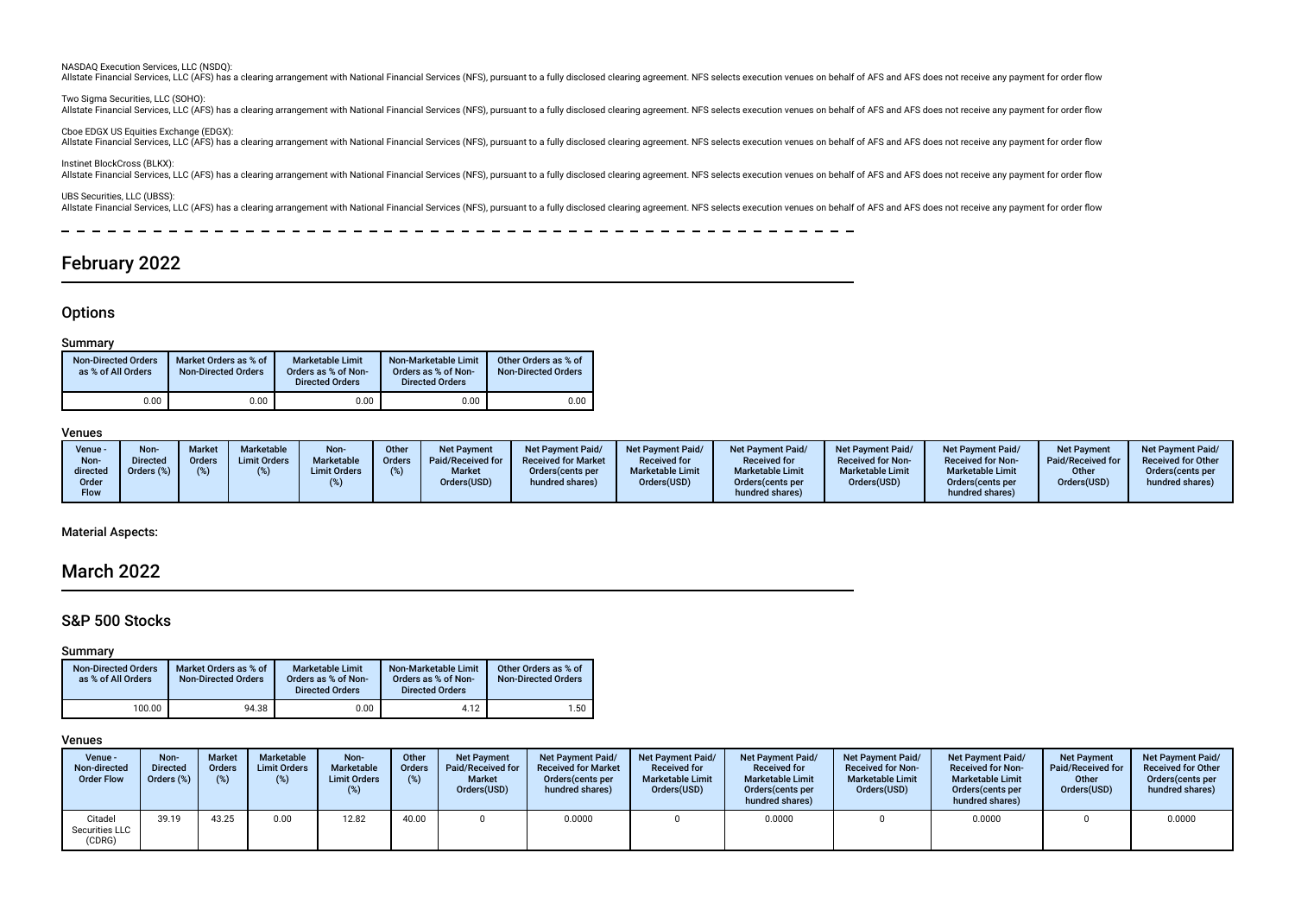NASDAQ Execution Services, LLC (NSDQ):

Allstate Financial Services, LLC (AFS) has a clearing arrangement with National Financial Services (NFS), pursuant to a fully disclosed clearing agreement. NFS selects execution venues on behalf of AFS and AFS does not rec

Two Sigma Securities, LLC (SOHO): All state Financial Services, LLC (AFS) has a clearing arrangement with National Financial Services (NFS), pursuant to a fully disclosed clearing agreement. NFS selects execution venues on behalf of AFS and AFS does not re

Cboe EDGX US Equities Exchange (EDGX): ouver unity of AFS has a clearing arrangement with National Financial Services (NFS), pursuant to a fully disclosed clearing agreement. NFS selects execution venues on behalf of AFS and AFS does not receive any payment for

Instinet BlockCross (BLKX): Allstate Financial Services, LLC (AFS) has a clearing arrangement with National Financial Services (NFS), pursuant to a fully disclosed clearing agreement. NFS selects execution venues on behalf of AFS and AFS does not rec

UBS Securities, LLC (UBSS): Allstate Financial Services, LLC (AFS) has a clearing arrangement with National Financial Services (NFS), pursuant to a fully disclosed clearing agreement. NFS selects execution venues on behalf of AFS and AFS does not rec

### February 2022

### **Options**

#### Summary

| <b>Non-Directed Orders</b><br>as % of All Orders | Market Orders as % of<br><b>Non-Directed Orders</b> | <b>Marketable Limit</b><br>Orders as % of Non-<br><b>Directed Orders</b> | Non-Marketable Limit<br>Orders as % of Non-<br><b>Directed Orders</b> | Other Orders as % of<br><b>Non-Directed Orders</b> |
|--------------------------------------------------|-----------------------------------------------------|--------------------------------------------------------------------------|-----------------------------------------------------------------------|----------------------------------------------------|
| 0.00                                             | 0.00                                                | 0.00                                                                     | 0.00                                                                  | 0.00                                               |

#### Venues

| Venue -<br>Non-<br>directed<br>Order<br><b>Flow</b> | Non-<br><b>Directed</b><br>Orders (%) | Market<br>Orders | <b>Marketable</b><br><b>Limit Orders</b> | Non-<br>Marketable<br><b>Limit Orders</b> | Other<br><b>Orders</b> | Net Payment<br>Paid/Received for<br><b>Market</b><br>Orders(USD) | <b>Net Payment Paid/</b><br><b>Received for Market</b><br>Orders (cents per<br>hundred shares) | <b>Net Payment Paid/</b><br><b>Received for</b><br><b>Marketable Limit</b><br>Orders(USD) | <b>Net Payment Paid/</b><br><b>Received for</b><br><b>Marketable Limit</b><br>Orders (cents per<br>hundred shares) | <b>Net Payment Paid/</b><br><b>Received for Non-</b><br><b>Marketable Limit</b><br>Orders(USD) | <b>Net Payment Paid/</b><br><b>Received for Non-</b><br><b>Marketable Limit</b><br>Orders(cents per<br>hundred shares) | <b>Net Payment</b><br>Paid/Received for<br>Other<br>Orders(USD) | <b>Net Payment Paid/</b><br><b>Received for Other</b><br>Orders(cents per<br>hundred shares) |
|-----------------------------------------------------|---------------------------------------|------------------|------------------------------------------|-------------------------------------------|------------------------|------------------------------------------------------------------|------------------------------------------------------------------------------------------------|-------------------------------------------------------------------------------------------|--------------------------------------------------------------------------------------------------------------------|------------------------------------------------------------------------------------------------|------------------------------------------------------------------------------------------------------------------------|-----------------------------------------------------------------|----------------------------------------------------------------------------------------------|
|-----------------------------------------------------|---------------------------------------|------------------|------------------------------------------|-------------------------------------------|------------------------|------------------------------------------------------------------|------------------------------------------------------------------------------------------------|-------------------------------------------------------------------------------------------|--------------------------------------------------------------------------------------------------------------------|------------------------------------------------------------------------------------------------|------------------------------------------------------------------------------------------------------------------------|-----------------------------------------------------------------|----------------------------------------------------------------------------------------------|

#### Material Aspects:

### March 2022

### S&P 500 Stocks

#### Summary

| <b>Non-Directed Orders</b><br>as % of All Orders | Market Orders as % of<br><b>Non-Directed Orders</b> | Marketable Limit<br>Orders as % of Non-<br><b>Directed Orders</b> | Non-Marketable Limit<br>Orders as % of Non-<br><b>Directed Orders</b> | Other Orders as % of<br>Non-Directed Orders |
|--------------------------------------------------|-----------------------------------------------------|-------------------------------------------------------------------|-----------------------------------------------------------------------|---------------------------------------------|
| 100.00                                           | 94.38                                               | 0.00                                                              | 4.12                                                                  | 1.50                                        |

| Venue -<br>Non-directed<br><b>Order Flow</b> | Non-<br><b>Directed</b><br>Orders $(\%)$ | <b>Market</b><br><b>Orders</b><br>(%) | <b>Marketable</b><br><b>Limit Orders</b><br>(%) | Non-<br><b>Marketable</b><br><b>Limit Orders</b> | Other<br><b>Orders</b><br>(%) | <b>Net Payment</b><br>Paid/Received for<br><b>Market</b><br>Orders(USD) | <b>Net Payment Paid/</b><br><b>Received for Market</b><br>Orders (cents per<br>hundred shares) | <b>Net Payment Paid/</b><br><b>Received for</b><br><b>Marketable Limit</b><br>Orders(USD) | <b>Net Payment Paid/</b><br><b>Received for</b><br><b>Marketable Limit</b><br>Orders(cents per<br>hundred shares) | <b>Net Payment Paid/</b><br><b>Received for Non-</b><br><b>Marketable Limit</b><br>Orders(USD) | <b>Net Payment Paid/</b><br><b>Received for Non-</b><br><b>Marketable Limit</b><br>Orders(cents per<br>hundred shares) | <b>Net Payment</b><br>Paid/Received for<br>Other<br>Orders(USD) | <b>Net Payment Paid/</b><br><b>Received for Other</b><br>Orders(cents per<br>hundred shares) |
|----------------------------------------------|------------------------------------------|---------------------------------------|-------------------------------------------------|--------------------------------------------------|-------------------------------|-------------------------------------------------------------------------|------------------------------------------------------------------------------------------------|-------------------------------------------------------------------------------------------|-------------------------------------------------------------------------------------------------------------------|------------------------------------------------------------------------------------------------|------------------------------------------------------------------------------------------------------------------------|-----------------------------------------------------------------|----------------------------------------------------------------------------------------------|
| Citadel<br>Securities LLC<br>(CDRG)          | 39.19                                    | 43.25                                 | 0.00                                            | 12.82                                            | 40.00                         |                                                                         | 0.0000                                                                                         |                                                                                           | 0.0000                                                                                                            |                                                                                                | 0.0000                                                                                                                 |                                                                 | 0.0000                                                                                       |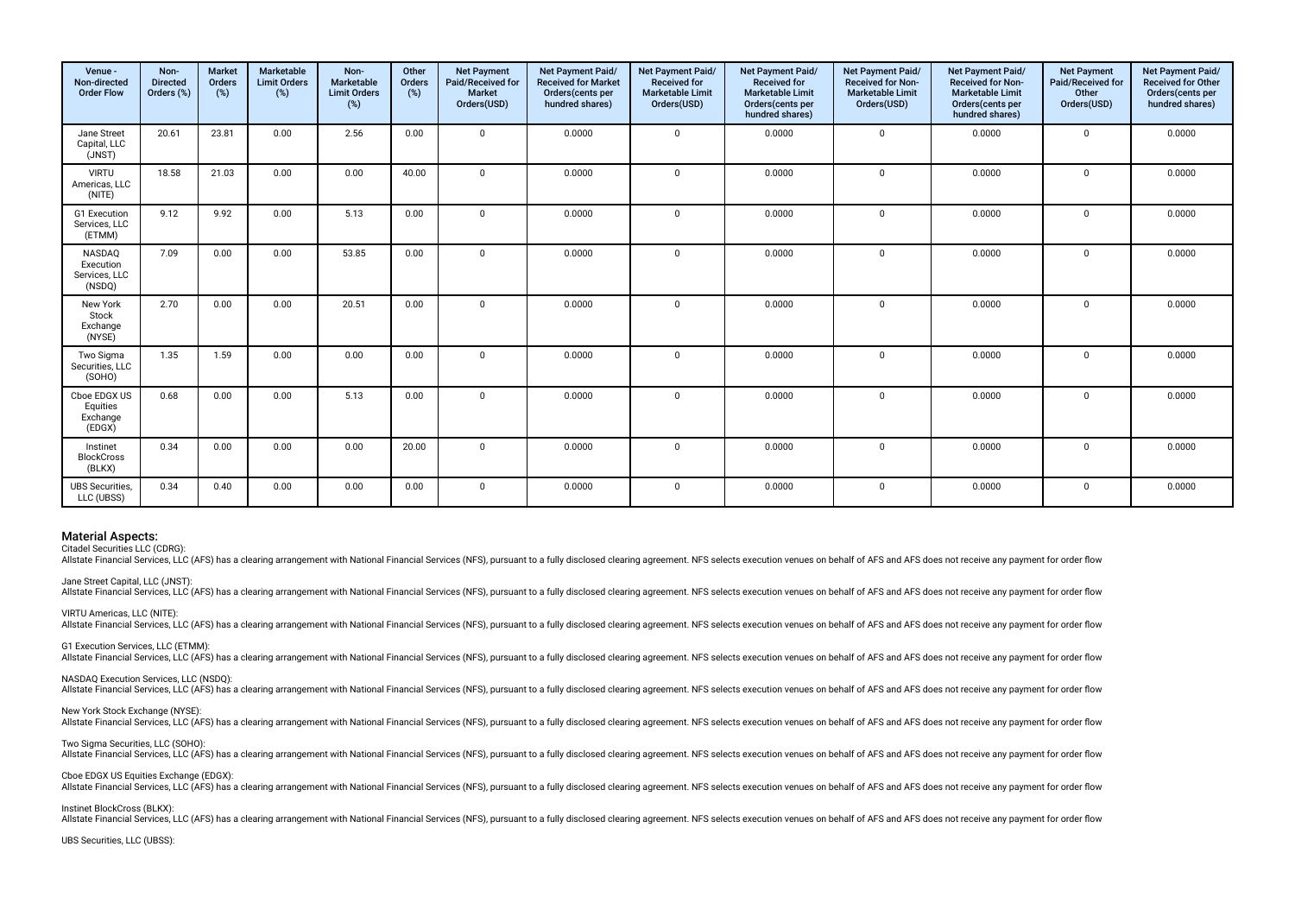| Venue -<br>Non-directed<br><b>Order Flow</b>   | Non-<br><b>Directed</b><br>Orders (%) | <b>Market</b><br>Orders<br>(%) | Marketable<br><b>Limit Orders</b><br>(%) | Non-<br>Marketable<br><b>Limit Orders</b><br>(%) | Other<br>Orders<br>(%) | <b>Net Payment</b><br>Paid/Received for<br><b>Market</b><br>Orders(USD) | Net Payment Paid/<br><b>Received for Market</b><br>Orders(cents per<br>hundred shares) | Net Payment Paid/<br><b>Received for</b><br><b>Marketable Limit</b><br>Orders(USD) | Net Payment Paid/<br><b>Received for</b><br><b>Marketable Limit</b><br>Orders(cents per<br>hundred shares) | <b>Net Payment Paid/</b><br><b>Received for Non-</b><br><b>Marketable Limit</b><br>Orders(USD) | Net Payment Paid/<br><b>Received for Non-</b><br><b>Marketable Limit</b><br>Orders(cents per<br>hundred shares) | <b>Net Payment</b><br>Paid/Received for<br>Other<br>Orders(USD) | Net Payment Paid/<br><b>Received for Other</b><br>Orders(cents per<br>hundred shares) |
|------------------------------------------------|---------------------------------------|--------------------------------|------------------------------------------|--------------------------------------------------|------------------------|-------------------------------------------------------------------------|----------------------------------------------------------------------------------------|------------------------------------------------------------------------------------|------------------------------------------------------------------------------------------------------------|------------------------------------------------------------------------------------------------|-----------------------------------------------------------------------------------------------------------------|-----------------------------------------------------------------|---------------------------------------------------------------------------------------|
| Jane Street<br>Capital, LLC<br>(JNST)          | 20.61                                 | 23.81                          | 0.00                                     | 2.56                                             | 0.00                   | $\Omega$                                                                | 0.0000                                                                                 | $\mathbf 0$                                                                        | 0.0000                                                                                                     | $\mathbf 0$                                                                                    | 0.0000                                                                                                          | $\mathbf{0}$                                                    | 0.0000                                                                                |
| <b>VIRTU</b><br>Americas, LLC<br>(NITE)        | 18.58                                 | 21.03                          | 0.00                                     | 0.00                                             | 40.00                  | $\Omega$                                                                | 0.0000                                                                                 | $\mathbf 0$                                                                        | 0.0000                                                                                                     | $\mathbf 0$                                                                                    | 0.0000                                                                                                          | $\mathbf{0}$                                                    | 0.0000                                                                                |
| G1 Execution<br>Services, LLC<br>(ETMM)        | 9.12                                  | 9.92                           | 0.00                                     | 5.13                                             | 0.00                   | $\mathbf{0}$                                                            | 0.0000                                                                                 | $\mathbf 0$                                                                        | 0.0000                                                                                                     | $\mathbf 0$                                                                                    | 0.0000                                                                                                          | $\mathbf 0$                                                     | 0.0000                                                                                |
| NASDAQ<br>Execution<br>Services, LLC<br>(NSDQ) | 7.09                                  | 0.00                           | 0.00                                     | 53.85                                            | 0.00                   | $\Omega$                                                                | 0.0000                                                                                 | $\mathbf 0$                                                                        | 0.0000                                                                                                     | $\mathbf 0$                                                                                    | 0.0000                                                                                                          | $\mathbf{0}$                                                    | 0.0000                                                                                |
| New York<br>Stock<br>Exchange<br>(NYSE)        | 2.70                                  | 0.00                           | 0.00                                     | 20.51                                            | 0.00                   | $\Omega$                                                                | 0.0000                                                                                 | $\Omega$                                                                           | 0.0000                                                                                                     | $\mathbf 0$                                                                                    | 0.0000                                                                                                          | 0                                                               | 0.0000                                                                                |
| Two Sigma<br>Securities, LLC<br>(SOHO)         | 1.35                                  | 1.59                           | 0.00                                     | 0.00                                             | 0.00                   | $\mathbf{0}$                                                            | 0.0000                                                                                 | $\mathbf 0$                                                                        | 0.0000                                                                                                     | $\mathbf 0$                                                                                    | 0.0000                                                                                                          | $\mathbf 0$                                                     | 0.0000                                                                                |
| Cboe EDGX US<br>Equities<br>Exchange<br>(EDGX) | 0.68                                  | 0.00                           | 0.00                                     | 5.13                                             | 0.00                   | $\Omega$                                                                | 0.0000                                                                                 | $\mathbf 0$                                                                        | 0.0000                                                                                                     | $\mathbf 0$                                                                                    | 0.0000                                                                                                          | 0                                                               | 0.0000                                                                                |
| Instinet<br><b>BlockCross</b><br>(BLKX)        | 0.34                                  | 0.00                           | 0.00                                     | 0.00                                             | 20.00                  | $\Omega$                                                                | 0.0000                                                                                 | $\Omega$                                                                           | 0.0000                                                                                                     | $\Omega$                                                                                       | 0.0000                                                                                                          | $\Omega$                                                        | 0.0000                                                                                |
| <b>UBS Securities.</b><br>LLC (UBSS)           | 0.34                                  | 0.40                           | 0.00                                     | 0.00                                             | 0.00                   | $\mathbf{0}$                                                            | 0.0000                                                                                 | $\mathbf 0$                                                                        | 0.0000                                                                                                     | $\mathbf 0$                                                                                    | 0.0000                                                                                                          | 0                                                               | 0.0000                                                                                |

Citadel Securities LLC (CDRG):

allstate Einancial Services U.C. (AES) has a clearing arrangement with National Einancial Services (NES) pursuant to a fully disclosed clearing agreement NFS selects execution venues on behalf of AES and AES does not recei

Jane Street Capital, LLC (JNST):

Allstate Financial Services, LLC (AFS) has a clearing arrangement with National Financial Services (NFS), pursuant to a fully disclosed clearing agreement. NFS selects execution venues on behalf of AFS and AFS does not rec

VIRTU Americas, LLC (NITE):

Allstate Financial Services, LLC (AFS) has a clearing arrangement with National Financial Services (NFS), pursuant to a fully disclosed clearing agreement. NFS selects execution venues on behalf of AFS and AFS does not rec

G1 Execution Services, LLC (ETMM):

Allstate Financial Services, LLC (AFS) has a clearing arrangement with National Financial Services (NFS), pursuant to a fully disclosed clearing agreement. NFS selects execution venues on behalf of AFS and AFS does not rec

NASDAQ Execution Services, LLC (NSDQ):

Allstate Financial Services, LLC (AFS) has a clearing arrangement with National Financial Services (NFS), pursuant to a fully disclosed clearing agreement. NFS selects execution venues on behalf of AFS and AFS does not rec

New York Stock Exchange (NYSE):

Allstate Financial Services, LLC (AFS) has a clearing arrangement with National Financial Services (NFS), pursuant to a fully disclosed clearing agreement. NFS selects execution venues on behalf of AFS and AFS does not rec

#### Two Sigma Securities, LLC (SOHO):

Allstate Financial Services, LLC (AFS) has a clearing arrangement with National Financial Services (NFS), pursuant to a fully disclosed clearing agreement. NFS selects execution venues on behalf of AFS and AFS does not rec

#### Cboe EDGX US Equities Exchange (EDGX):

ouver Library County Cases and Services, LLC (AFS) has a clearing arrangement with National Financial Services (NFS), pursuant to a fully disclosed clearing agreement. NFS selects execution venues on behalf of AFS and AFS

#### Instinet BlockCross (BLKX):

Allstate Financial Services, LLC (AFS) has a clearing arrangement with National Financial Services (NFS), pursuant to a fully disclosed clearing agreement. NFS selects execution venues on behalf of AFS and AFS does not rec

#### UBS Securities, LLC (UBSS):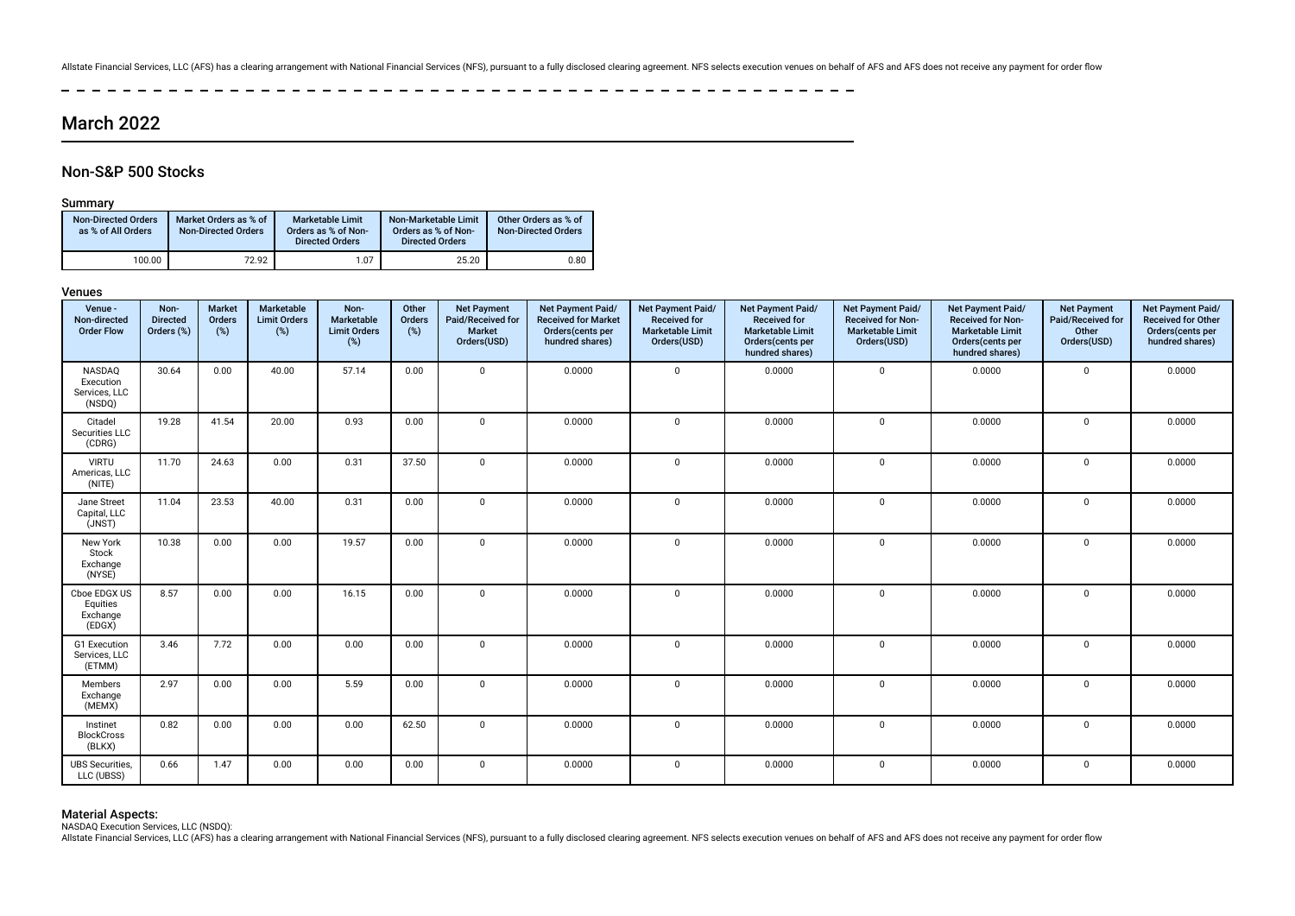Allstate Financial Services, LLC (AFS) has a clearing arrangement with National Financial Services (NFS), pursuant to a fully disclosed clearing agreement. NFS selects execution venues on behalf of AFS and AFS does not rec

 $\sim$ -------------------- $\sim$   $-$ سيد سي

## March 2022

### Non-S&P 500 Stocks

### **Summary**

| <b>Non-Directed Orders</b><br>as % of All Orders | Market Orders as % of<br><b>Non-Directed Orders</b> | <b>Marketable Limit</b><br>Orders as % of Non-<br><b>Directed Orders</b> | Non-Marketable Limit<br>Orders as % of Non-<br><b>Directed Orders</b> | Other Orders as % of<br><b>Non-Directed Orders</b> |
|--------------------------------------------------|-----------------------------------------------------|--------------------------------------------------------------------------|-----------------------------------------------------------------------|----------------------------------------------------|
| 100.00                                           | 72.92                                               | 1.07                                                                     | 25.20                                                                 | 0.80                                               |

#### Venues

| Venue -<br>Non-directed<br><b>Order Flow</b>   | Non-<br><b>Directed</b><br>Orders (%) | <b>Market</b><br>Orders<br>(%) | Marketable<br><b>Limit Orders</b><br>$(\%)$ | Non-<br>Marketable<br><b>Limit Orders</b><br>$(\%)$ | Other<br>Orders<br>(%) | <b>Net Payment</b><br>Paid/Received for<br>Market<br>Orders(USD) | Net Payment Paid/<br><b>Received for Market</b><br>Orders(cents per<br>hundred shares) | Net Payment Paid/<br><b>Received for</b><br><b>Marketable Limit</b><br>Orders(USD) | Net Payment Paid/<br><b>Received for</b><br><b>Marketable Limit</b><br>Orders(cents per<br>hundred shares) | Net Payment Paid/<br><b>Received for Non-</b><br><b>Marketable Limit</b><br>Orders(USD) | Net Payment Paid/<br><b>Received for Non-</b><br><b>Marketable Limit</b><br>Orders(cents per<br>hundred shares) | <b>Net Payment</b><br>Paid/Received for<br>Other<br>Orders(USD) | Net Payment Paid/<br><b>Received for Other</b><br>Orders(cents per<br>hundred shares) |
|------------------------------------------------|---------------------------------------|--------------------------------|---------------------------------------------|-----------------------------------------------------|------------------------|------------------------------------------------------------------|----------------------------------------------------------------------------------------|------------------------------------------------------------------------------------|------------------------------------------------------------------------------------------------------------|-----------------------------------------------------------------------------------------|-----------------------------------------------------------------------------------------------------------------|-----------------------------------------------------------------|---------------------------------------------------------------------------------------|
| NASDAQ<br>Execution<br>Services, LLC<br>(NSDQ) | 30.64                                 | 0.00                           | 40.00                                       | 57.14                                               | 0.00                   | $\Omega$                                                         | 0.0000                                                                                 | $\mathbf 0$                                                                        | 0.0000                                                                                                     | $\mathbf 0$                                                                             | 0.0000                                                                                                          | $\mathbf 0$                                                     | 0.0000                                                                                |
| Citadel<br>Securities LLC<br>(CDRG)            | 19.28                                 | 41.54                          | 20.00                                       | 0.93                                                | 0.00                   | $\Omega$                                                         | 0.0000                                                                                 | $\mathbf 0$                                                                        | 0.0000                                                                                                     | $\mathbf 0$                                                                             | 0.0000                                                                                                          | $\mathbf 0$                                                     | 0.0000                                                                                |
| <b>VIRTU</b><br>Americas, LLC<br>(NITE)        | 11.70                                 | 24.63                          | 0.00                                        | 0.31                                                | 37.50                  | $\Omega$                                                         | 0.0000                                                                                 | $\mathbf 0$                                                                        | 0.0000                                                                                                     | $\mathbf 0$                                                                             | 0.0000                                                                                                          | $\mathbf 0$                                                     | 0.0000                                                                                |
| Jane Street<br>Capital, LLC<br>(JNST)          | 11.04                                 | 23.53                          | 40.00                                       | 0.31                                                | 0.00                   | $\Omega$                                                         | 0.0000                                                                                 | 0                                                                                  | 0.0000                                                                                                     | $\mathbf 0$                                                                             | 0.0000                                                                                                          | $\mathbf 0$                                                     | 0.0000                                                                                |
| New York<br>Stock<br>Exchange<br>(NYSE)        | 10.38                                 | 0.00                           | 0.00                                        | 19.57                                               | 0.00                   | $\mathbf{0}$                                                     | 0.0000                                                                                 | $\mathbf 0$                                                                        | 0.0000                                                                                                     | $\mathbf 0$                                                                             | 0.0000                                                                                                          | $\mathbf 0$                                                     | 0.0000                                                                                |
| Cboe EDGX US<br>Equities<br>Exchange<br>(EDGX) | 8.57                                  | 0.00                           | 0.00                                        | 16.15                                               | 0.00                   | $\Omega$                                                         | 0.0000                                                                                 | $\mathbf 0$                                                                        | 0.0000                                                                                                     | $\mathbf 0$                                                                             | 0.0000                                                                                                          | $\mathbf 0$                                                     | 0.0000                                                                                |
| G1 Execution<br>Services, LLC<br>(ETMM)        | 3.46                                  | 7.72                           | 0.00                                        | 0.00                                                | 0.00                   | $\Omega$                                                         | 0.0000                                                                                 | $\mathbf 0$                                                                        | 0.0000                                                                                                     | $\mathbf 0$                                                                             | 0.0000                                                                                                          | $\mathbf 0$                                                     | 0.0000                                                                                |
| Members<br>Exchange<br>(MEMX)                  | 2.97                                  | 0.00                           | 0.00                                        | 5.59                                                | 0.00                   | $\mathbf 0$                                                      | 0.0000                                                                                 | $\mathbf 0$                                                                        | 0.0000                                                                                                     | $\mathbf 0$                                                                             | 0.0000                                                                                                          | $\mathbf 0$                                                     | 0.0000                                                                                |
| Instinet<br><b>BlockCross</b><br>(BLKX)        | 0.82                                  | 0.00                           | 0.00                                        | 0.00                                                | 62.50                  | $\Omega$                                                         | 0.0000                                                                                 | $\mathbf 0$                                                                        | 0.0000                                                                                                     | $\mathbf 0$                                                                             | 0.0000                                                                                                          | $\mathbf 0$                                                     | 0.0000                                                                                |
| <b>UBS</b> Securities,<br>LLC (UBSS)           | 0.66                                  | 1.47                           | 0.00                                        | 0.00                                                | 0.00                   | $\mathbf 0$                                                      | 0.0000                                                                                 | $\mathbf 0$                                                                        | 0.0000                                                                                                     | $\mathbf 0$                                                                             | 0.0000                                                                                                          | $\mathbf 0$                                                     | 0.0000                                                                                |

**Material Aspects:**<br>NASDAQ Execution Services, LLC (NSDQ):<br>Allstate Financial Services, LLC (AFS) has a clearing arrangement with National Financial Services (NFS), pursuant to a fully disclosed clearing agreement. NFS sel